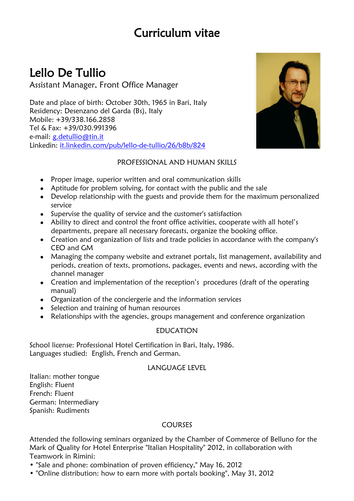# Curriculum vitae

# Lello De Tullio

Assistant Manager, Front Office Manager

Date and place of birth: October 30th, 1965 in Bari, Italy Residency: Desenzano del Garda (Bs), Italy Mobile: +39/338.166.2858 Tel & Fax: +39/030.991396 e-mail: [g.detullio@tin.it](mailto:g.detullio@tin.it) Linkedin: it.linkedin.com/pub/lello-de-tullio/26/b8b/824



### PROFESSIONAL AND HUMAN SKILLS

- Proper image, superior written and oral communication skills
- Aptitude for problem solving, for contact with the public and the sale
- Develop relationship with the guests and provide them for the maximum personalized service
- Supervise the quality of service and the customer's satisfaction
- Ability to direct and control the front office activities, cooperate with all hotel's departments, prepare all necessary forecasts, organize the booking office.
- Creation and organization of lists and trade policies in accordance with the company's CEO and GM
- Managing the company website and extranet portals, list management, availability and periods, creation of texts, promotions, packages, events and news, according with the channel manager
- Creation and implementation of the reception's procedures (draft of the operating manual)
- Organization of the conciergerie and the information services
- Selection and training of human resources
- Relationships with the agencies, groups management and conference organization

### EDUCATION

School license: Professional Hotel Certification in Bari, Italy, 1986. Languages studied: English, French and German.

### LANGUAGE LEVEL

Italian: mother tongue English: Fluent French: Fluent German: Intermediary Spanish: Rudiments

### COURSES

Attended the following seminars organized by the Chamber of Commerce of Belluno for the Mark of Quality for Hotel Enterprise "Italian Hospitality" 2012, in collaboration with Teamwork in Rimini:

- "Sale and phone: combination of proven efficiency," May 16, 2012
- "Online distribution: how to earn more with portals booking", May 31, 2012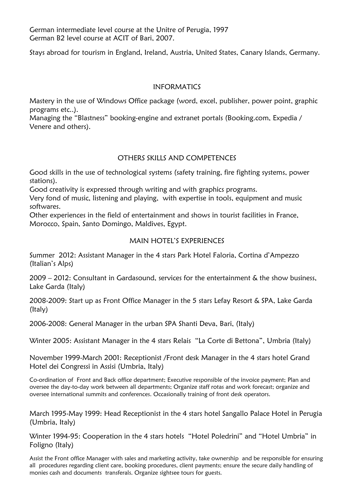German intermediate level course at the Unitre of Perugia, 1997 German B2 level course at ACIT of Bari, 2007.

Stays abroad for tourism in England, Ireland, Austria, United States, Canary Islands, Germany.

#### INFORMATICS

Mastery in the use of Windows Office package (word, excel, publisher, power point, graphic programs etc..).

Managing the "Blastness" booking-engine and extranet portals (Booking.com, Expedia / Venere and others).

### OTHERS SKILLS AND COMPETENCES

Good skills in the use of technological systems (safety training, fire fighting systems, power stations).

Good creativity is expressed through writing and with graphics programs.

Very fond of music, listening and playing, with expertise in tools, equipment and music softwares.

Other experiences in the field of entertainment and shows in tourist facilities in France, Morocco, Spain, Santo Domingo, Maldives, Egypt.

### MAIN HOTFL'S EXPERIENCES

Summer 2012: Assistant Manager in the 4 stars Park Hotel Faloria, Cortina d'Ampezzo (Italian's Alps)

2009 – 2012: Consultant in Gardasound, services for the entertainment & the show business, Lake Garda (Italy)

2008-2009: Start up as Front Office Manager in the 5 stars Lefay Resort & SPA, Lake Garda (Italy)

2006-2008: General Manager in the urban SPA Shanti Deva, Bari, (Italy)

Winter 2005: Assistant Manager in the 4 stars Relais "La Corte di Bettona", Umbria (Italy)

November 1999-March 2001: Receptionist /Front desk Manager in the 4 stars hotel Grand Hotel dei Congressi in Assisi (Umbria, Italy)

Co-ordination of Front and Back office department; Executive responsible of the invoice payment; Plan and oversee the day-to-day work between all departments; Organize staff rotas and work forecast; organize and oversee international summits and conferences. Occasionally training of front desk operators.

March 1995-May 1999: Head Receptionist in the 4 stars hotel Sangallo Palace Hotel in Perugia (Umbria, Italy)

Winter 1994-95: Cooperation in the 4 stars hotels "Hotel Poledrini" and "Hotel Umbria" in Foligno (Italy)

Assist the Front office Manager with sales and marketing activity, take ownership and be responsible for ensuring all procedures regarding client care, booking procedures, client payments; ensure the secure daily handling of monies cash and documents transferals. Organize sightsee tours for guests.